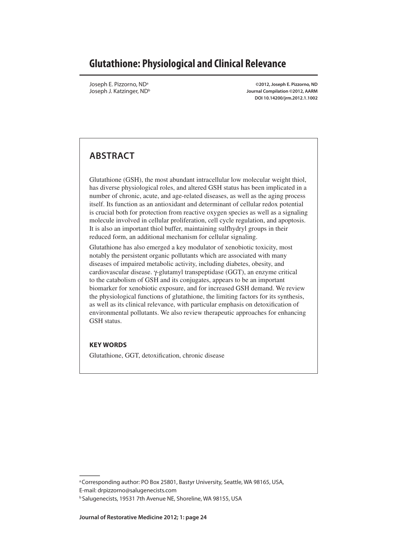# **Glutathione: Physiological and Clinical Relevance**

Joseph E. Pizzorno, ND<sup>a</sup> Joseph J. Katzinger, ND<sup>b</sup>

**©2012, Joseph E. Pizzorno, ND Journal Compilation ©2012, AARM DOI 10.14200/jrm.2012.1.1002**

# **ABSTRACT**

Glutathione (GSH), the most abundant intracellular low molecular weight thiol, has diverse physiological roles, and altered GSH status has been implicated in a number of chronic, acute, and age-related diseases, as well as the aging process itself. Its function as an antioxidant and determinant of cellular redox potential is crucial both for protection from reactive oxygen species as well as a signaling molecule involved in cellular proliferation, cell cycle regulation, and apoptosis. It is also an important thiol buffer, maintaining sulfhydryl groups in their reduced form, an additional mechanism for cellular signaling.

Glutathione has also emerged a key modulator of xenobiotic toxicity, most notably the persistent organic pollutants which are associated with many diseases of impaired metabolic activity, including diabetes, obesity, and cardiovascular disease. γ-glutamyl transpeptidase (GGT), an enzyme critical to the catabolism of GSH and its conjugates, appears to be an important biomarker for xenobiotic exposure, and for increased GSH demand. We review the physiological functions of glutathione, the limiting factors for its synthesis, as well as its clinical relevance, with particular emphasis on detoxification of environmental pollutants. We also review therapeutic approaches for enhancing GSH status.

### **KEY WORDS**

Glutathione, GGT, detoxification, chronic disease

<sup>&</sup>lt;sup>a</sup> Corresponding author: PO Box 25801, Bastyr University, Seattle, WA 98165, USA,

E-mail: drpizzorno@salugenecists.com

<sup>&</sup>lt;sup>b</sup> Salugenecists, 19531 7th Avenue NE, Shoreline, WA 98155, U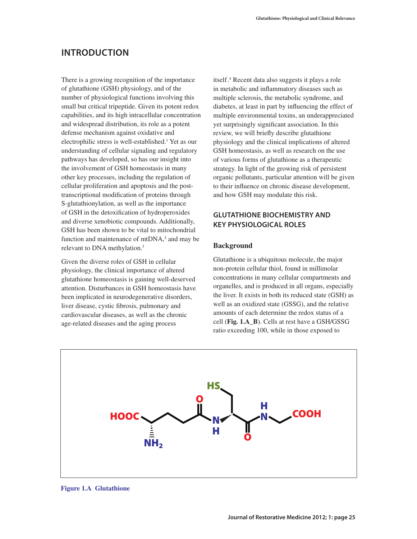# **Introduction**

There is a growing recognition of the importance of glutathione (GSH) physiology, and of the number of physiological functions involving this small but critical tripeptide. Given its potent redox capabilities, and its high intracellular concentration and widespread distribution, its role as a potent defense mechanism against oxidative and electrophilic stress is well-established.<sup>1</sup> Yet as our understanding of cellular signaling and regulatory pathways has developed, so has our insight into the involvement of GSH homeostasis in many other key processes, including the regulation of cellular proliferation and apoptosis and the posttranscriptional modification of proteins through S-glutathionylation, as well as the importance of GSH in the detoxification of hydroperoxides and diverse xenobiotic compounds. Additionally, GSH has been shown to be vital to mitochondrial function and maintenance of mtDNA,<sup>2</sup> and may be relevant to DNA methylation.3

Given the diverse roles of GSH in cellular physiology, the clinical importance of altered glutathione homeostasis is gaining well-deserved attention. Disturbances in GSH homeostasis have been implicated in neurodegenerative disorders, liver disease, cystic fibrosis, pulmonary and cardiovascular diseases, as well as the chronic age-related diseases and the aging process

itself.4 Recent data also suggests it plays a role in metabolic and inflammatory diseases such as multiple sclerosis, the metabolic syndrome, and diabetes, at least in part by influencing the effect of multiple environmental toxins, an underappreciated yet surprisingly significant association. In this review, we will briefly describe glutathione physiology and the clinical implications of altered GSH homeostasis, as well as research on the use of various forms of glutathione as a therapeutic strategy. In light of the growing risk of persistent organic pollutants, particular attention will be given to their influence on chronic disease development, and how GSH may modulate this risk.

### **Glutathione Biochemistry and Key Physiological Roles**

### **Background**

Glutathione is a ubiquitous molecule, the major non-protein cellular thiol, found in millimolar concentrations in many cellular compartments and organelles, and is produced in all organs, especially the liver. It exists in both its reduced state (GSH) as well as an oxidized state (GSSG), and the relative amounts of each determine the redox status of a cell (**Fig. 1.A\_B**). Cells at rest have a GSH/GSSG ratio exceeding 100, while in those exposed to



#### **Figure 1.A Glutathione**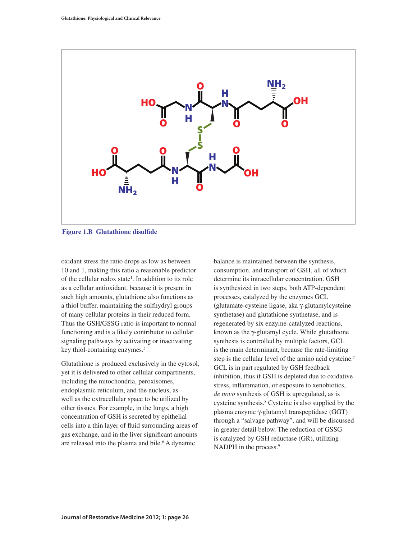

**Figure 1.B Glutathione disulfide**

oxidant stress the ratio drops as low as between 10 and 1, making this ratio a reasonable predictor of the cellular redox state<sup>1</sup>. In addition to its role as a cellular antioxidant, because it is present in such high amounts, glutathione also functions as a thiol buffer, maintaining the sulfhydryl groups of many cellular proteins in their reduced form. Thus the GSH/GSSG ratio is important to normal functioning and is a likely contributor to cellular signaling pathways by activating or inactivating key thiol-containing enzymes.<sup>5</sup>

Glutathione is produced exclusively in the cytosol, yet it is delivered to other cellular compartments, including the mitochondria, peroxisomes, endoplasmic reticulum, and the nucleus, as well as the extracellular space to be utilized by other tissues. For example, in the lungs, a high concentration of GSH is secreted by epithelial cells into a thin layer of fluid surrounding areas of gas exchange, and in the liver significant amounts are released into the plasma and bile.<sup>6</sup> A dynamic

balance is maintained between the synthesis, consumption, and transport of GSH, all of which determine its intracellular concentration. GSH is synthesized in two steps, both ATP-dependent processes, catalyzed by the enzymes GCL (glutamate-cysteine ligase, aka γ-glutamylcysteine synthetase) and glutathione synthetase, and is regenerated by six enzyme-catalyzed reactions, known as the γ-glutamyl cycle. While glutathione synthesis is controlled by multiple factors, GCL is the main determinant, because the rate-limiting step is the cellular level of the amino acid cysteine.<sup>7</sup> GCL is in part regulated by GSH feedback inhibition, thus if GSH is depleted due to oxidative stress, inflammation, or exposure to xenobiotics, *de novo* synthesis of GSH is upregulated, as is cysteine synthesis.<sup>8</sup> Cysteine is also supplied by the plasma enzyme γ-glutamyl transpeptidase (GGT) through a "salvage pathway", and will be discussed in greater detail below. The reduction of GSSG is catalyzed by GSH reductase (GR), utilizing NADPH in the process.<sup>9</sup>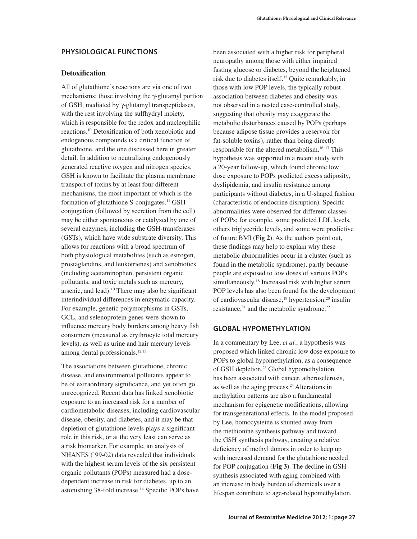### **Physiological Functions**

#### **Detoxification**

All of glutathione's reactions are via one of two mechanisms; those involving the γ-glutamyl portion of GSH, mediated by γ-glutamyl transpeptidases, with the rest involving the sulfhydryl moiety, which is responsible for the redox and nucleophilic reactions.10 Detoxification of both xenobiotic and endogenous compounds is a critical function of glutathione, and the one discussed here in greater detail. In addition to neutralizing endogenously generated reactive oxygen and nitrogen species, GSH is known to facilitate the plasma membrane transport of toxins by at least four different mechanisms, the most important of which is the formation of glutathione S-conjugates.<sup>11</sup> GSH conjugation (followed by secretion from the cell) may be either spontaneous or catalyzed by one of several enzymes, including the GSH-transferases (GSTs), which have wide substrate diversity. This allows for reactions with a broad spectrum of both physiological metabolites (such as estrogen, prostaglandins, and leukotrienes) and xenobiotics (including acetaminophen, persistent organic pollutants, and toxic metals such as mercury, arsenic, and lead).10 There may also be significant interindividual differences in enzymatic capacity. For example, genetic polymorphisms in GSTs, GCL, and selenoprotein genes were shown to influence mercury body burdens among heavy fish consumers (measured as erythrocyte total mercury levels), as well as urine and hair mercury levels among dental professionals.12,13

The associations between glutathione, chronic disease, and environmental pollutants appear to be of extraordinary significance, and yet often go unrecognized. Recent data has linked xenobiotic exposure to an increased risk for a number of cardiometabolic diseases, including cardiovascular disease, obesity, and diabetes, and it may be that depletion of glutathione levels plays a significant role in this risk, or at the very least can serve as a risk biomarker. For example, an analysis of NHANES ('99-02) data revealed that individuals with the highest serum levels of the six persistent organic pollutants (POPs) measured had a dosedependent increase in risk for diabetes, up to an astonishing 38-fold increase.<sup>14</sup> Specific POPs have

been associated with a higher risk for peripheral neuropathy among those with either impaired fasting glucose or diabetes, beyond the heightened risk due to diabetes itself.15 Quite remarkably, in those with low POP levels, the typically robust association between diabetes and obesity was not observed in a nested case-controlled study, suggesting that obesity may exaggerate the metabolic disturbances caused by POPs (perhaps because adipose tissue provides a reservoir for fat-soluble toxins), rather than being directly responsible for the altered metabolism.16, 17 This hypothesis was supported in a recent study with a 20-year follow-up, which found chronic low dose exposure to POPs predicted excess adiposity, dyslipidemia, and insulin resistance among participants without diabetes, in a U-shaped fashion (characteristic of endocrine disruption). Specific abnormalities were observed for different classes of POPs; for example, some predicted LDL levels, others triglyceride levels, and some were predictive of future BMI (**Fig 2**). As the authors point out, these findings may help to explain why these metabolic abnormalities occur in a cluster (such as found in the metabolic syndrome), partly because people are exposed to low doses of various POPs simultaneously.<sup>18</sup> Increased risk with higher serum POP levels has also been found for the development of cardiovascular disease, $19$  hypertension, $20$  insulin resistance, $21$  and the metabolic syndrome. $22$ 

### **Global Hypomethylation**

In a commentary by Lee, *et al.*, a hypothesis was proposed which linked chronic low dose exposure to POPs to global hypomethylation, as a consequence of GSH depletion.23 Global hypomethylation has been associated with cancer, atherosclerosis, as well as the aging process.24 Alterations in methylation patterns are also a fundamental mechanism for epigenetic modifications, allowing for transgenerational effects. In the model proposed by Lee, homocysteine is shunted away from the methionine synthesis pathway and toward the GSH synthesis pathway, creating a relative deficiency of methyl donors in order to keep up with increased demand for the glutathione needed for POP conjugation (**Fig 3**). The decline in GSH synthesis associated with aging combined with an increase in body burden of chemicals over a lifespan contribute to age-related hypomethylation.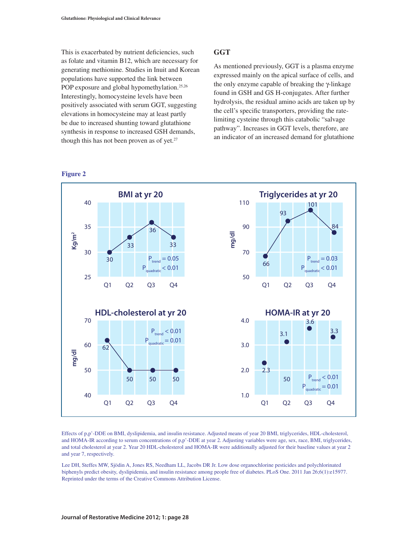This is exacerbated by nutrient deficiencies, such as folate and vitamin B12, which are necessary for generating methionine. Studies in Inuit and Korean populations have supported the link between POP exposure and global hypomethylation.<sup>25,26</sup> Interestingly, homocysteine levels have been positively associated with serum GGT, suggesting elevations in homocysteine may at least partly be due to increased shunting toward glutathione synthesis in response to increased GSH demands, though this has not been proven as of yet.<sup>27</sup>

### **GGT**

As mentioned previously, GGT is a plasma enzyme expressed mainly on the apical surface of cells, and the only enzyme capable of breaking the γ-linkage found in GSH and GS H-conjugates. After further hydrolysis, the residual amino acids are taken up by the cell's specific transporters, providing the ratelimiting cysteine through this catabolic "salvage pathway". Increases in GGT levels, therefore, are an indicator of an increased demand for glutathione



Effects of p,p'-DDE on BMI, dyslipidemia, and insulin resistance. Adjusted means of year 20 BMI, triglycerides, HDL-cholesterol, and HOMA-IR according to serum concentrations of p,p'-DDE at year 2. Adjusting variables were age, sex, race, BMI, triglycerides, and total cholesterol at year 2. Year 20 HDL-cholesterol and HOMA-IR were additionally adjusted for their baseline values at year 2 and year 7, respectively.

Lee DH, Steffes MW, Sjödin A, Jones RS, Needham LL, Jacobs DR Jr. Low dose organochlorine pesticides and polychlorinated biphenyls predict obesity, dyslipidemia, and insulin resistance among people free of diabetes. PLoS One. 2011 Jan 26;6(1):e15977. Reprinted under the terms of the Creative Commons Attribution License.

#### **Figure 2**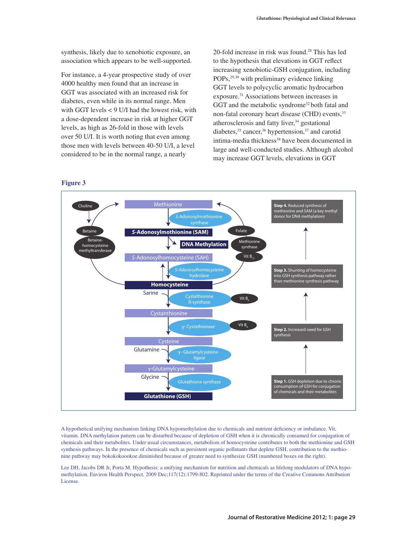synthesis, likely due to xenobiotic exposure, an association which appears to be well-supported.

For instance, a 4-year prospective study of over 4000 healthy men found that an increase in GGT was associated with an increased risk for diabetes, even while in its normal range. Men with GGT levels < 9 U/I had the lowest risk, with a dose-dependent increase in risk at higher GGT levels, as high as 26-fold in those with levels over 50 U/I. It is worth noting that even among those men with levels between 40-50 U/I, a level considered to be in the normal range, a nearly

20-fold increase in risk was found.28 This has led to the hypothesis that elevations in GGT reflect increasing xenobiotic-GSH conjugation, including POPs,<sup>29,30</sup> with preliminary evidence linking GGT levels to polycyclic aromatic hydrocarbon exposure.31 Associations between increases in GGT and the metabolic syndrome<sup>32</sup> both fatal and non-fatal coronary heart disease (CHD) events,  $33$ atherosclerosis and fatty liver,<sup>34</sup> gestational diabetes, $35$  cancer,  $36$  hypertension,  $37$  and carotid intima-media thickness<sup>38</sup> have been documented in large and well-conducted studies. Although alcohol may increase GGT levels, elevations in GGT



A hypothetical unifying mechanism linking DNA hypomethylation due to chemicals and nutrient deficiency or imbalance. Vit, vitamin. DNA methylation pattern can be disturbed because of depletion of GSH when it is chronically consumed for conjugation of chemicals and their metabolites. Under usual circumstances, metabolism of homocysteine contributes to both the methionine and GSH synthesis pathways. In the presence of chemicals such as persistent organic pollutants that deplete GSH, contribution to the methionine pathway may bokokokoookoe diminished because of greater need to synthesize GSH (numbered boxes on the right).

Lee DH, Jacobs DR Jr, Porta M. Hypothesis: a unifying mechanism for nutrition and chemicals as lifelong modulators of DNA hypomethylation. Environ Health Perspect. 2009 Dec;117(12):1799-802. Reprinted under the terms of the Creative Commons Attribution License.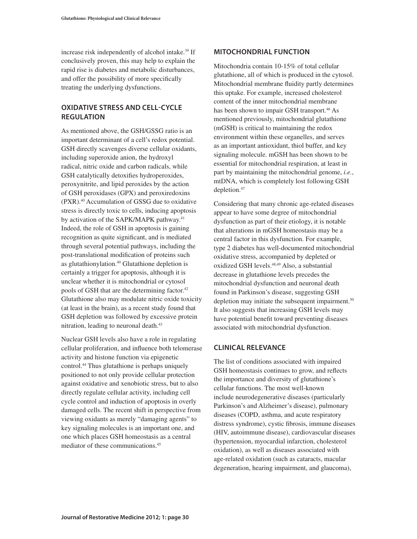increase risk independently of alcohol intake.<sup>39</sup> If conclusively proven, this may help to explain the rapid rise is diabetes and metabolic disturbances, and offer the possibility of more specifically treating the underlying dysfunctions.

### **Oxidative Stress and Cell-cycle Regulation**

As mentioned above, the GSH/GSSG ratio is an important determinant of a cell's redox potential. GSH directly scavenges diverse cellular oxidants, including superoxide anion, the hydroxyl radical, nitric oxide and carbon radicals, while GSH catalytically detoxifies hydroperoxides, peroxynitrite, and lipid peroxides by the action of GSH peroxidases (GPX) and peroxiredoxins (PXR).40 Accumulation of GSSG due to oxidative stress is directly toxic to cells, inducing apoptosis by activation of the SAPK/MAPK pathway.<sup>41</sup> Indeed, the role of GSH in apoptosis is gaining recognition as quite significant, and is mediated through several potential pathways, including the post-translational modification of proteins such as glutathionylation.40 Glutathione depletion is certainly a trigger for apoptosis, although it is unclear whether it is mitochondrial or cytosol pools of GSH that are the determining factor.<sup>42</sup> Glutathione also may modulate nitric oxide toxicity (at least in the brain), as a recent study found that GSH depletion was followed by excessive protein nitration, leading to neuronal death.<sup>43</sup>

Nuclear GSH levels also have a role in regulating cellular proliferation, and influence both telomerase activity and histone function via epigenetic control.44 Thus glutathione is perhaps uniquely positioned to not only provide cellular protection against oxidative and xenobiotic stress, but to also directly regulate cellular activity, including cell cycle control and induction of apoptosis in overly damaged cells. The recent shift in perspective from viewing oxidants as merely "damaging agents" to key signaling molecules is an important one, and one which places GSH homeostasis as a central mediator of these communications.45

#### **Mitochondrial Function**

Mitochondria contain 10-15% of total cellular glutathione, all of which is produced in the cytosol. Mitochondrial membrane fluidity partly determines this uptake. For example, increased cholesterol content of the inner mitochondrial membrane has been shown to impair GSH transport.<sup>46</sup> As mentioned previously, mitochondrial glutathione (mGSH) is critical to maintaining the redox environment within these organelles, and serves as an important antioxidant, thiol buffer, and key signaling molecule. mGSH has been shown to be essential for mitochondrial respiration, at least in part by maintaining the mitochondrial genome, *i.e.*, mtDNA, which is completely lost following GSH depletion.<sup>47</sup>

Considering that many chronic age-related diseases appear to have some degree of mitochondrial dysfunction as part of their etiology, it is notable that alterations in mGSH homeostasis may be a central factor in this dysfunction. For example, type 2 diabetes has well-documented mitochondrial oxidative stress, accompanied by depleted or oxidized GSH levels.48,49 Also, a substantial decrease in glutathione levels precedes the mitochondrial dysfunction and neuronal death found in Parkinson's disease, suggesting GSH depletion may initiate the subsequent impairment.<sup>50</sup> It also suggests that increasing GSH levels may have potential benefit toward preventing diseases associated with mitochondrial dysfunction.

### **Clinical relevance**

The list of conditions associated with impaired GSH homeostasis continues to grow, and reflects the importance and diversity of glutathione's cellular functions. The most well-known include neurodegenerative diseases (particularly Parkinson's and Alzheimer's disease), pulmonary diseases (COPD, asthma, and acute respiratory distress syndrome), cystic fibrosis, immune diseases (HIV, autoimmune disease), cardiovascular diseases (hypertension, myocardial infarction, cholesterol oxidation), as well as diseases associated with age-related oxidation (such as cataracts, macular degeneration, hearing impairment, and glaucoma),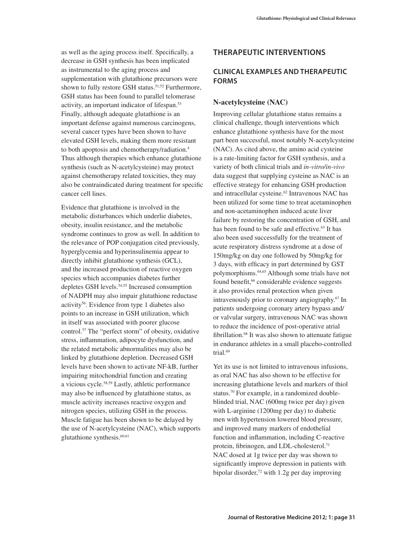decrease in GSH synthesis has been implicated as instrumental to the aging process and supplementation with glutathione precursors were shown to fully restore GSH status.<sup>51,52</sup> Furthermore, GSH status has been found to parallel telomerase activity, an important indicator of lifespan.53 Finally, although adequate glutathione is an important defense against numerous carcinogens, several cancer types have been shown to have elevated GSH levels, making them more resistant to both apoptosis and chemotherapy/radiation.4 Thus although therapies which enhance glutathione synthesis (such as N-acetylcysteine) may protect against chemotherapy related toxicities, they may also be contraindicated during treatment for specific cancer cell lines.

Evidence that glutathione is involved in the metabolic disturbances which underlie diabetes, obesity, insulin resistance, and the metabolic syndrome continues to grow as well. In addition to the relevance of POP conjugation cited previously, hyperglycemia and hyperinsulinemia appear to directly inhibit glutathione synthesis (GCL), and the increased production of reactive oxygen species which accompanies diabetes further depletes GSH levels.54,55 Increased consumption of NADPH may also impair glutathione reductase activity56. Evidence from type 1 diabetes also points to an increase in GSH utilization, which in itself was associated with poorer glucose control.57 The "perfect storm" of obesity, oxidative stress, inflammation, adipocyte dysfunction, and the related metabolic abnormalities may also be linked by glutathione depletion. Decreased GSH levels have been shown to activate NF-kB, further impairing mitochondrial function and creating a vicious cycle.58,59 Lastly, athletic performance may also be influenced by glutathione status, as muscle activity increases reactive oxygen and nitrogen species, utilizing GSH in the process. Muscle fatigue has been shown to be delayed by the use of N-acetylcysteine (NAC), which supports glutathione synthesis.60,61

## **Therapeutic Interventions**

## **Clinical Examples and Therapeutic Forms**

### **N-acetylcysteine (NAC)**

Improving cellular glutathione status remains a clinical challenge, though interventions which enhance glutathione synthesis have for the most part been successful, most notably N-acetylcysteine (NAC). As cited above, the amino acid cysteine is a rate-limiting factor for GSH synthesis, and a variety of both clinical trials and *in-vitro/in-vivo* data suggest that supplying cysteine as NAC is an effective strategy for enhancing GSH production and intracellular cysteine.<sup>62</sup> Intravenous NAC has been utilized for some time to treat acetaminophen and non-acetaminophen induced acute liver failure by restoring the concentration of GSH, and has been found to be safe and effective.<sup>63</sup> It has also been used successfully for the treatment of acute respiratory distress syndrome at a dose of 150mg/kg on day one followed by 50mg/kg for 3 days, with efficacy in part determined by GST polymorphisms.64,65 Although some trials have not found benefit.<sup>66</sup> considerable evidence suggests it also provides renal protection when given intravenously prior to coronary angiography.67 In patients undergoing coronary artery bypass and/ or valvular surgery, intravenous NAC was shown to reduce the incidence of post-operative atrial fibrillation.68 It was also shown to attenuate fatigue in endurance athletes in a small placebo-controlled trial.<sup>69</sup>

Yet its use is not limited to intravenous infusions, as oral NAC has also shown to be effective for increasing glutathione levels and markers of thiol status.70 For example, in a randomized doubleblinded trial, NAC (600mg twice per day) given with L-arginine (1200mg per day) to diabetic men with hypertension lowered blood pressure, and improved many markers of endothelial function and inflammation, including C-reactive protein, fibrinogen, and LDL-cholesterol.<sup>71</sup> NAC dosed at 1g twice per day was shown to significantly improve depression in patients with bipolar disorder,<sup>72</sup> with 1.2g per day improving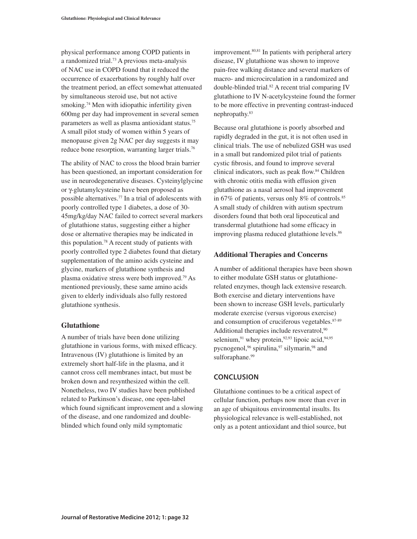physical performance among COPD patients in a randomized trial.73 A previous meta-analysis of NAC use in COPD found that it reduced the occurrence of exacerbations by roughly half over the treatment period, an effect somewhat attenuated by simultaneous steroid use, but not active smoking.<sup>74</sup> Men with idiopathic infertility given 600mg per day had improvement in several semen parameters as well as plasma antioxidant status.<sup>75</sup> A small pilot study of women within 5 years of menopause given 2g NAC per day suggests it may reduce bone resorption, warranting larger trials.<sup>76</sup>

The ability of NAC to cross the blood brain barrier has been questioned, an important consideration for use in neurodegenerative diseases. Cysteinylglycine or γ-glutamylcysteine have been proposed as possible alternatives.77 In a trial of adolescents with poorly controlled type 1 diabetes, a dose of 30- 45mg/kg/day NAC failed to correct several markers of glutathione status, suggesting either a higher dose or alternative therapies may be indicated in this population.78 A recent study of patients with poorly controlled type 2 diabetes found that dietary supplementation of the amino acids cysteine and glycine, markers of glutathione synthesis and plasma oxidative stress were both improved.79 As mentioned previously, these same amino acids given to elderly individuals also fully restored glutathione synthesis.

### **Glutathione**

A number of trials have been done utilizing glutathione in various forms, with mixed efficacy. Intravenous (IV) glutathione is limited by an extremely short half-life in the plasma, and it cannot cross cell membranes intact, but must be broken down and resynthesized within the cell. Nonetheless, two IV studies have been published related to Parkinson's disease, one open-label which found significant improvement and a slowing of the disease, and one randomized and doubleblinded which found only mild symptomatic

improvement.<sup>80,81</sup> In patients with peripheral artery disease, IV glutathione was shown to improve pain-free walking distance and several markers of macro- and microcirculation in a randomized and double-blinded trial.82 A recent trial comparing IV glutathione to IV N-acetylcysteine found the former to be more effective in preventing contrast-induced nephropathy.83

Because oral glutathione is poorly absorbed and rapidly degraded in the gut, it is not often used in clinical trials. The use of nebulized GSH was used in a small but randomized pilot trial of patients cystic fibrosis, and found to improve several clinical indicators, such as peak flow.84 Children with chronic otitis media with effusion given glutathione as a nasal aerosol had improvement in 67% of patients, versus only 8% of controls.<sup>85</sup> A small study of children with autism spectrum disorders found that both oral lipoceutical and transdermal glutathione had some efficacy in improving plasma reduced glutathione levels.<sup>86</sup>

#### **Additional Therapies and Concerns**

A number of additional therapies have been shown to either modulate GSH status or glutathionerelated enzymes, though lack extensive research. Both exercise and dietary interventions have been shown to increase GSH levels, particularly moderate exercise (versus vigorous exercise) and consumption of cruciferous vegetables.<sup>87-89</sup> Additional therapies include resveratrol,<sup>90</sup> selenium, <sup>91</sup> whey protein, <sup>92, 93</sup> lipoic acid, <sup>94, 95</sup> pycnogenol,  $96$  spirulina,  $97$  silymarin,  $98$  and sulforaphane.<sup>99</sup>

#### **Conclusion**

Glutathione continues to be a critical aspect of cellular function, perhaps now more than ever in an age of ubiquitous environmental insults. Its physiological relevance is well-established, not only as a potent antioxidant and thiol source, but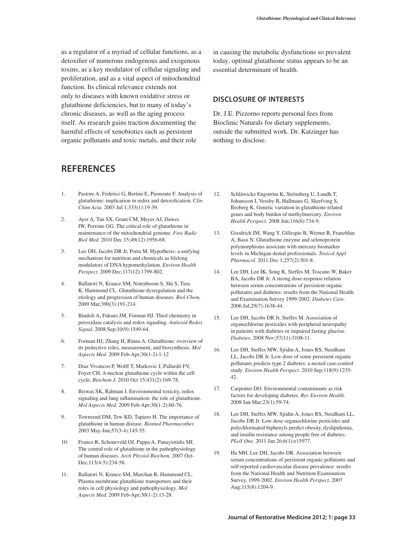as a regulator of a myriad of cellular functions, as a detoxifier of numerous endogenous and exogenous toxins, as a key modulator of cellular signaling and proliferation, and as a vital aspect of mitochondrial function. Its clinical relevance extends not only to diseases with known oxidative stress or glutathione deficiencies, but to many of today's chronic diseases, as well as the aging process itself. As research gains traction documenting the harmful effects of xenobiotics such as persistent organic pollutants and toxic metals, and their role

## **REFERENCES**

- 1. Pastore A, Federici G, Bertini E, Piemonte F. Analysis of glutathione: implication in redox and detoxification. C*lin Chim Acta.* 2003 Jul 1;333(1):19-39.
- 2. Ayer A, Tan SX, Grant CM, Meyer AJ, Dawes IW, Perrone GG. The critical role of glutathione in maintenance of the mitochondrial genome. *Free Radic Biol Med.* 2010 Dec 15;49(12):1956-68.
- 3. Lee DH, Jacobs DR Jr, Porta M. Hypothesis: a unifying mechanism for nutrition and chemicals as lifelong modulators of DNA hypomethylation. *Environ Health Perspect.* 2009 Dec;117(12):1799-802.
- 4. Ballatori N, Krance SM, Notenboom S, Shi S, Tieu K, Hammond CL. Glutathione dysregulation and the etiology and progression of human diseases. *Biol Chem.* 2009 Mar;390(3):191-214.
- 5. Bindoli A, Fukuto JM, Forman HJ. Thiol chemistry in peroxidase catalysis and redox signaling. *Antioxid Redox Signal.* 2008 Sep;10(9):1549-64.
- 6. Forman HJ, Zhang H, Rinna A. Glutathione: overview of its protective roles, measurement, and biosynthesis. *Mol Aspects Med.* 2009 Feb-Apr;30(1-2):1-12
- 7. Diaz Vivancos P, Wolff T, Markovic J, Pallardó FV, Foyer CH. A nuclear glutathione cycle within the cell cycle. *Biochem J.* 2010 Oct 15;431(2):169-78.
- 8. Biswas SK, Rahman I. Environmental toxicity, redox signaling and lung inflammation: the role of glutathione. *Mol Aspects Med.* 2009 Feb-Apr;30(1-2):60-76.
- 9. Townsend DM, Tew KD, Tapiero H. The importance of glutathione in human disease. *Biomed Pharmacother.* 2003 May-Jun;57(3-4):145-55.
- 10. Franco R, Schoneveld OJ, Pappa A, Panayiotidis MI. The central role of glutathione in the pathophysiology of human diseases. *Arch Physiol Biochem.* 2007 Oct-Dec;113(4-5):234-58.
- 11. Ballatori N, Krance SM, Marchan R, Hammond CL. Plasma membrane glutathione transporters and their roles in cell physiology and pathophysiology. *Mol Aspects Med.* 2009 Feb-Apr;30(1-2):13-28.

in causing the metabolic dysfunctions so prevalent today, optimal glutathione status appears to be an essential determinant of health.

### **DISCLOSURE OF INTERESTS**

Dr. J.E. Pizzorno reports personal fees from Bioclinic Naturals for dietary supplements, outside the submitted work. Dr. Katzinger has nothing to disclose.

- 12. Schläwicke Engström K, Strömberg U, Lundh T, Johansson I, Vessby B, Hallmans G, Skerfving S, Broberg K. Genetic variation in glutathione-related genes and body burden of methylmercury. *Environ Health Perspect.* 2008 Jun;116(6):734-9.
- 13. Goodrich JM, Wang Y, Gillespie B, Werner R, Franzblau A, Basu N. Glutathione enzyme and selenoprotein polymorphisms associate with mercury biomarker levels in Michigan dental professionals. *Toxicol Appl Pharmacol.* 2011 Dec 1;257(2):301-8.
- 14. Lee DH, Lee IK, Song K, Steffes M, Toscano W, Baker BA, Jacobs DR Jr. A strong dose-response relation between serum concentrations of persistent organic pollutants and diabetes: results from the National Health and Examination Survey 1999-2002. *Diabetes Care.* 2006 Jul;29(7):1638-44.
- 15. Lee DH, Jacobs DR Jr, Steffes M. Association of organochlorine pesticides with peripheral neuropathy in patients with diabetes or impaired fasting glucose. *Diabetes.* 2008 Nov;57(11):3108-11.
- 16. Lee DH, Steffes MW, Sjödin A, Jones RS, Needham LL, Jacobs DR Jr. Low dose of some persistent organic pollutants predicts type 2 diabetes: a nested case-control study. *Environ Health Perspect.* 2010 Sep;118(9):1235- 42.
- 17. Carpenter DO. Environmental contaminants as risk factors for developing diabetes. *Rev Environ Health.* 2008 Jan-Mar;23(1):59-74.
- 18. Lee DH, Steffes MW, Sjödin A, Jones RS, Needham LL, Jacobs DR Jr. Low dose organochlorine pesticides and polychlorinated biphenyls predict obesity, dyslipidemia, and insulin resistance among people free of diabetes. *PLoS One.* 2011 Jan 26;6(1):e15977.
- 19. Ha MH, Lee DH, Jacobs DR. Association between serum concentrations of persistent organic pollutants and self-reported cardiovascular disease prevalence: results from the National Health and Nutrition Examination Survey, 1999-2002. *Environ Health Perspect.* 2007 Aug;115(8):1204-9.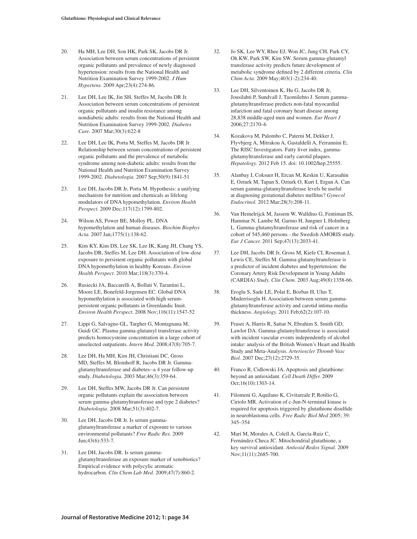- 20. Ha MH, Lee DH, Son HK, Park SK, Jacobs DR Jr. Association between serum concentrations of persistent organic pollutants and prevalence of newly diagnosed hypertension: results from the National Health and Nutrition Examination Survey 1999-2002. *J Hum Hypertens.* 2009 Apr;23(4):274-86.
- 21. Lee DH, Lee IK, Jin SH, Steffes M, Jacobs DR Jr. Association between serum concentrations of persistent organic pollutants and insulin resistance among nondiabetic adults: results from the National Health and Nutrition Examination Survey 1999-2002. *Diabetes Care.* 2007 Mar;30(3):622-8
- 22. Lee DH, Lee IK, Porta M, Steffes M, Jacobs DR Jr. Relationship between serum concentrations of persistent organic pollutants and the prevalence of metabolic syndrome among non-diabetic adults: results from the National Health and Nutrition Examination Survey 1999-2002. *Diabetologia.* 2007 Sep;50(9):1841-51
- 23. Lee DH, Jacobs DR Jr, Porta M. Hypothesis: a unifying mechanism for nutrition and chemicals as lifelong modulators of DNA hypomethylation. *Environ Health Perspect.* 2009 Dec;117(12):1799-802.
- 24. Wilson AS, Power BE, Molloy PL. DNA hypomethylation and human diseases. *Biochim Biophys Acta.* 2007 Jan;1775(1):138-62.
- 25. Kim KY, Kim DS, Lee SK, Lee IK, Kang JH, Chang YS, Jacobs DR, Steffes M, Lee DH. Association of low-dose exposure to persistent organic pollutants with global DNA hypomethylation in healthy Koreans. *Environ Health Perspect.* 2010 Mar;118(3):370-4.
- 26. Rusiecki JA, Baccarelli A, Bollati V, Tarantini L, Moore LE, Bonefeld-Jorgensen EC. Global DNA hypomethylation is associated with high serumpersistent organic pollutants in Greenlandic Inuit. *Environ Health Perspect.* 2008 Nov;116(11):1547-52
- 27. Lippi G, Salvagno GL, Targher G, Montagnana M, Guidi GC. Plasma gamma-glutamyl transferase activity predicts homocysteine concentration in a large cohort of unselected outpatients. *Intern Med.* 2008;47(8):705-7.
- 28. Lee DH, Ha MH, Kim JH, Christiani DC, Gross MD, Steffes M, Blomhoff R, Jacobs DR Jr. Gammaglutamyltransferase and diabetes--a 4 year follow-up study. *Diabetologia.* 2003 Mar;46(3):359-64.
- 29. Lee DH, Steffes MW, Jacobs DR Jr. Can persistent organic pollutants explain the association between serum gamma-glutamyltransferase and type 2 diabetes? *Diabetologia*. 2008 Mar;51(3):402-7.
- 30. Lee DH, Jacobs DR Jr. Is serum gammaglutamyltransferase a marker of exposure to various environmental pollutants? *Free Radic Res.* 2009 Jun;43(6):533-7.
- 31. Lee DH, Jacobs DR. Is serum gammaglutamyltransferase an exposure marker of xenobiotics? Empirical evidence with polycylic aromatic hydrocarbon. *Clin Chem Lab Med*. 2009;47(7):860-2.
- 32. Jo SK, Lee WY, Rhee EJ, Won JC, Jung CH, Park CY, Oh KW, Park SW, Kim SW. Serum gamma-glutamyl transferase activity predicts future development of metabolic syndrome defined by 2 different criteria. *Clin Chim Acta.* 2009 May;403(1-2):234-40.
- 33. Lee DH, Silventoinen K, Hu G, Jacobs DR Jr, Jousilahti P, Sundvall J, Tuomilehto J. Serum gammaglutamyltransferase predicts non-fatal myocardial infarction and fatal coronary heart disease among 28,838 middle-aged men and women. *Eur Heart J*  2006;27:2170–6
- 34. Kozakova M, Palombo C, Paterni M, Dekker J, Flyvbjerg A, Mitrakou A, Gastaldelli A, Ferrannini E; The RISC Investigators. Fatty liver index, gammaglutamyltransferase and early carotid plaques. *Hepatology.* 2012 Feb 15. doi: 10.1002/hep.25555.
- 35. Alanbay I, Coksuer H, Ercan M, Keskin U, Karasahin E, Ozturk M, Tapan S, Ozturk O, Kurt I, Ergun A. Can serum gamma-glutamyltransferase levels be useful at diagnosing gestational diabetes mellitus? *Gynecol Endocrinol.* 2012 Mar;28(3):208-11.
- 36. Van Hemelrijck M, Jassem W, Walldius G, Fentiman IS, Hammar N, Lambe M, Garmo H, Jungner I, Holmberg L. Gamma-glutamyltransferase and risk of cancer in a cohort of 545,460 persons - the Swedish AMORIS study. *Eur J Cancer.* 2011 Sep;47(13):2033-41.
- 37. Lee DH, Jacobs DR Jr, Gross M, Kiefe CI, Roseman J, Lewis CE, Steffes M. Gamma-glutamyltransferase is a predictor of incident diabetes and hypertension: the Coronary Artery Risk Development in Young Adults (CARDIA) *Study. Clin Chem.* 2003 Aug;49(8):1358-66.
- 38. Eroglu S, Sade LE, Polat E, Bozbas H, Ulus T, Muderrisoglu H. Association between serum gammaglutamyltransferase activity and carotid intima-media thickness. *Angiology.* 2011 Feb;62(2):107-10.
- 39. Fraser A, Harris R, Sattar N, Ebrahim S, Smith GD, Lawlor DA. Gamma-glutamyltransferase is associated with incident vascular events independently of alcohol intake: analysis of the British Women's Heart and Health Study and Meta-Analysis. *Arterioscler Thromb Vasc Biol.* 2007 Dec;27(12):2729-35.
- 40. Franco R, Cidlowski JA. Apoptosis and glutathione: beyond an antioxidant. *Cell Death Differ.* 2009 Oct;16(10):1303-14.
- 41. Filomeni G, Aquilano K, Civitareale P, Rotilio G, Ciriolo MR. Activation of c-Jun-N-terminal kinase is required for apoptosis triggered by glutathione disulfide in neuroblastoma cells. *Free Radic Biol Med* 2005; 39: 345–354
- 42. Marí M, Morales A, Colell A, García-Ruiz C, Fernández-Checa JC. Mitochondrial glutathione, a key survival antioxidant. *Antioxid Redox Signal.* 2009 Nov;11(11):2685-700.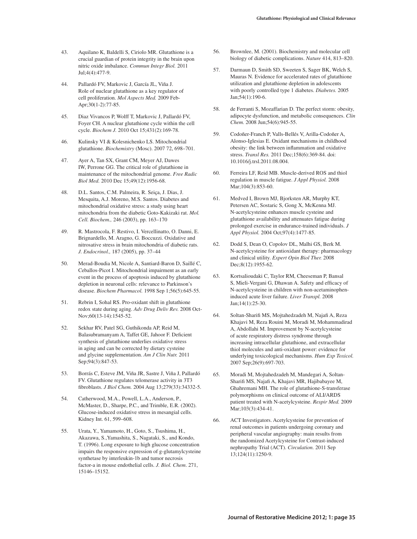- 43. Aquilano K, Baldelli S, Ciriolo MR. Glutathione is a crucial guardian of protein integrity in the brain upon nitric oxide imbalance. *Commun Integr Biol.* 2011 Jul;4(4):477-9.
- 44. Pallardó FV, Markovic J, García JL, Viña J. Role of nuclear glutathione as a key regulator of cell proliferation. *Mol Aspects Med.* 2009 Feb-Apr;30(1-2):77-85.
- 45. Diaz Vivancos P, Wolff T, Markovic J, Pallardó FV, Foyer CH. A nuclear glutathione cycle within the cell cycle. *Biochem J.* 2010 Oct 15;431(2):169-78.
- 46. Kulinsky VI & Kolesnichenko LS. Mitochondrial glutathione. *Biochemistry* (Mosc). 2007 72, 698–701.
- 47. Ayer A, Tan SX, Grant CM, Meyer AJ, Dawes IW, Perrone GG. The critical role of glutathione in maintenance of the mitochondrial genome. *Free Radic Biol Med.* 2010 Dec 15;49(12):1956-68.
- 48. D.L. Santos, C.M. Palmeira, R. Seiça, J. Dias, J. Mesquita, A.J. Moreno, M.S. Santos. Diabetes and mitochondrial oxidative stress: a study using heart mitochondria from the diabetic Goto-Kakizaki rat. *Mol. Cell. Biochem.,* 246 (2003), pp. 163–170
- 49. R. Mastrocola, F. Restivo, I. Vercellinatto, O. Danni, E. Brignardello, M. Aragno, G. Boccuzzi. Oxidative and nitrosative stress in brain mitochondria of diabetic rats. *J. Endocrinol.,* 187 (2005), pp. 37–44
- 50. Merad-Boudia M, Nicole A, Santiard-Baron D, Saillé C, Ceballos-Picot I. Mitochondrial impairment as an early event in the process of apoptosis induced by glutathione depletion in neuronal cells: relevance to Parkinson's disease. *Biochem Pharmacol.* 1998 Sep 1;56(5):645-55.
- 51. Rebrin I, Sohal RS. Pro-oxidant shift in glutathione redox state during aging. *Adv Drug Deliv Rev.* 2008 Oct-Nov;60(13-14):1545-52.
- 52. Sekhar RV, Patel SG, Guthikonda AP, Reid M, Balasubramanyam A, Taffet GE, Jahoor F. Deficient synthesis of glutathione underlies oxidative stress in aging and can be corrected by dietary cysteine and glycine supplementation. *Am J Clin Nutr.* 2011 Sep;94(3):847-53.
- 53. Borrás C, Esteve JM, Viña JR, Sastre J, Viña J, Pallardó FV. Glutathione regulates telomerase activity in 3T3 fibroblasts. *J Biol Chem.* 2004 Aug 13;279(33):34332-5.
- 54. Catherwood, M.A., Powell, L.A., Anderson, P., McMaster, D., Sharpe, P.C., and Trimble, E.R. (2002). Glucose-induced oxidative stress in mesangial cells. Kidney Int. 61, 599–608.
- 55. Urata, Y., Yamamoto, H., Goto, S., Tsushima, H., Akazawa, S.,Yamashita, S., Nagataki, S., and Kondo, T. (1996). Long exposure to high glucose concentration impairs the responsive expression of g-glutamylcysteine synthetase by interleukin-1b and tumor necrosis factor-a in mouse endothelial cells. *J. Biol. Chem*. 271, 15146–15152.
- 56. Brownlee, M. (2001). Biochemistry and molecular cell biology of diabetic complications. *Nature* 414, 813–820.
- 57. Darmaun D, Smith SD, Sweeten S, Sager BK, Welch S, Mauras N. Evidence for accelerated rates of glutathione utilization and glutathione depletion in adolescents with poorly controlled type 1 diabetes. *Diabetes.* 2005 Jan;54(1):190-6.
- 58. de Ferranti S, Mozaffarian D. The perfect storm: obesity, adipocyte dysfunction, and metabolic consequences. *Clin Chem.* 2008 Jun;54(6):945-55.
- 59. Codoñer-Franch P, Valls-Bellés V, Arilla-Codoñer A, Alonso-Iglesias E. Oxidant mechanisms in childhood obesity: the link between inflammation and oxidative stress. *Transl Res.* 2011 Dec;158(6):369-84. doi: 10.1016/j.trsl.2011.08.004.
- 60. Ferreira LF, Reid MB. Muscle-derived ROS and thiol regulation in muscle fatigue. *J Appl Physiol.* 2008 Mar;104(3):853-60.
- 61. Medved I, Brown MJ, Bjorksten AR, Murphy KT, Petersen AC, Sostaric S, Gong X, McKenna MJ. N-acetylcysteine enhances muscle cysteine and glutathione availability and attenuates fatigue during prolonged exercise in endurance-trained individuals. *J Appl Physiol.* 2004 Oct;97(4):1477-85.
- 62. Dodd S, Dean O, Copolov DL, Malhi GS, Berk M. N-acetylcysteine for antioxidant therapy: pharmacology and clinical utility. *Expert Opin Biol Ther.* 2008 Dec;8(12):1955-62.
- 63. Kortsalioudaki C, Taylor RM, Cheeseman P, Bansal S, Mieli-Vergani G, Dhawan A. Safety and efficacy of N-acetylcysteine in children with non-acetaminopheninduced acute liver failure. *Liver Transpl.* 2008 Jan;14(1):25-30.
- 64. Soltan-Sharifi MS, Mojtahedzadeh M, Najafi A, Reza Khajavi M, Reza Rouini M, Moradi M, Mohammadirad A, Abdollahi M. Improvement by N-acetylcysteine of acute respiratory distress syndrome through increasing intracellular glutathione, and extracellular thiol molecules and anti-oxidant power: evidence for underlying toxicological mechanisms. *Hum Exp Toxicol.* 2007 Sep;26(9):697-703.
- 65. Moradi M, Mojtahedzadeh M, Mandegari A, Soltan-Sharifi MS, Najafi A, Khajavi MR, Hajibabayee M, Ghahremani MH. The role of glutathione-S-transferase polymorphisms on clinical outcome of ALI/ARDS patient treated with N-acetylcysteine. *Respir Med.* 2009 Mar;103(3):434-41.
- 66. ACT Investigators. Acetylcysteine for prevention of renal outcomes in patients undergoing coronary and peripheral vascular angiography: main results from the randomized Acetylcysteine for Contrast-induced nephropathy Trial (ACT). *Circulation.* 2011 Sep 13;124(11):1250-9.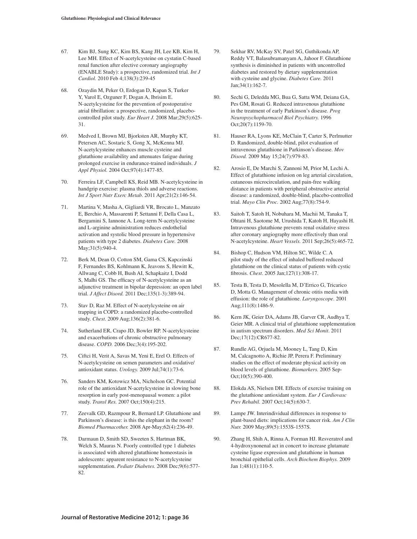- 67. Kim BJ, Sung KC, Kim BS, Kang JH, Lee KB, Kim H, Lee MH. Effect of N-acetylcysteine on cystatin C-based renal function after elective coronary angiography (ENABLE Study): a prospective, randomized trial. *Int J Cardiol.* 2010 Feb 4;138(3):239-45
- 68. Ozaydin M, Peker O, Erdogan D, Kapan S, Turker Y, Varol E, Ozguner F, Dogan A, Ibrisim E. N-acetylcysteine for the prevention of postoperative atrial fibrillation: a prospective, randomized, placebocontrolled pilot study. *Eur Heart J.* 2008 Mar;29(5):625- 31.
- 69. Medved I, Brown MJ, Bjorksten AR, Murphy KT, Petersen AC, Sostaric S, Gong X, McKenna MJ. N-acetylcysteine enhances muscle cysteine and glutathione availability and attenuates fatigue during prolonged exercise in endurance-trained individuals. *J Appl Physiol.* 2004 Oct;97(4):1477-85.
- 70. Ferreira LF, Campbell KS, Reid MB. N-acetylcysteine in handgrip exercise: plasma thiols and adverse reactions. *Int J Sport Nutr Exerc Metab*. 2011 Apr;21(2):146-54.
- 71. Martina V, Masha A, Gigliardi VR, Brocato L, Manzato E, Berchio A, Massarenti P, Settanni F, Della Casa L, Bergamini S, Iannone A. Long-term N-acetylcysteine and L-arginine administration reduces endothelial activation and systolic blood pressure in hypertensive patients with type 2 diabetes. *Diabetes Care.* 2008 May; 31(5): 940-4.
- 72. Berk M, Dean O, Cotton SM, Gama CS, Kapczinski F, Fernandes BS, Kohlmann K, Jeavons S, Hewitt K, Allwang C, Cobb H, Bush AI, Schapkaitz I, Dodd S, Malhi GS. The efficacy of N-acetylcysteine as an adjunctive treatment in bipolar depression: an open label trial. *J Affect Disord.* 2011 Dec;135(1-3):389-94.
- 73. Stav D, Raz M. Effect of N-acetylcysteine on air trapping in COPD: a randomized placebo-controlled study. *Chest*. 2009 Aug;136(2):381-6.
- 74. Sutherland ER, Crapo JD, Bowler RP. N-acetylcysteine and exacerbations of chronic obstructive pulmonary disease. *COPD.* 2006 Dec;3(4):195-202.
- 75. Ciftci H, Verit A, Savas M, Yeni E, Erel O. Effects of N-acetylcysteine on semen parameters and oxidative/ antioxidant status. *Urology.* 2009 Jul;74(1):73-6.
- 76. Sanders KM, Kotowicz MA, Nicholson GC. Potential role of the antioxidant N-acetylcysteine in slowing bone resorption in early post-menopausal women: a pilot study. *Transl Res.* 2007 Oct;150(4):215.
- 77. Zeevalk GD, Razmpour R, Bernard LP. Glutathione and Parkinson's disease: is this the elephant in the room? *Biomed Pharmacother.* 2008 Apr-May;62(4):236-49.
- 78. Darmaun D, Smith SD, Sweeten S, Hartman BK, Welch S, Mauras N. Poorly controlled type 1 diabetes is associated with altered glutathione homeostasis in adolescents: apparent resistance to N-acetylcysteine supplementation. *Pediatr Diabetes.* 2008 Dec;9(6):577- 82.
- 79. Sekhar RV, McKay SV, Patel SG, Guthikonda AP, Reddy VT, Balasubramanyam A, Jahoor F. Glutathione synthesis is diminished in patients with uncontrolled diabetes and restored by dietary supplementation with cysteine and glycine. *Diabetes Care.* 2011 Jan;34(1):162-7.
- 80. Sechi G, Deledda MG, Bua G, Satta WM, Deiana GA, Pes GM, Rosati G. Reduced intravenous glutathione in the treatment of early Parkinson's disease. *Prog Neuropsychopharmacol Biol Psychiatry.* 1996 Oct;20(7):1159-70.
- 81. Hauser RA, Lyons KE, McClain T, Carter S, Perlmutter D. Randomized, double-blind, pilot evaluation of intravenous glutathione in Parkinson's disease. *Mov Disord.* 2009 May 15;24(7):979-83.
- 82. Arosio E, De Marchi S, Zannoni M, Prior M, Lechi A. Effect of glutathione infusion on leg arterial circulation, cutaneous microcirculation, and pain-free walking distance in patients with peripheral obstructive arterial disease: a randomized, double-blind, placebo-controlled trial. *Mayo Clin Proc.* 2002 Aug;77(8):754-9.
- 83. Saitoh T, Satoh H, Nobuhara M, Machii M, Tanaka T, Ohtani H, Saotome M, Urushida T, Katoh H, Hayashi H. Intravenous glutathione prevents renal oxidative stress after coronary angiography more effectively than oral N-acetylcysteine. *Heart Vessels.* 2011 Sep;26(5):465-72.
- 84. Bishop C, Hudson VM, Hilton SC, Wilde C. A pilot study of the effect of inhaled buffered reduced glutathione on the clinical status of patients with cystic fibrosis. *Chest*. 2005 Jan;127(1):308-17.
- 85. Testa B, Testa D, Mesolella M, D'Errico G, Tricarico D, Motta G. Management of chronic otitis media with effusion: the role of glutathione. *Laryngoscope*. 2001 Aug;111(8):1486-9.
- 86. Kern JK, Geier DA, Adams JB, Garver CR, Audhya T, Geier MR. A clinical trial of glutathione supplementation in autism spectrum disorders. *Med Sci Monit*. 2011 Dec;17(12):CR677-82.
- 87. Rundle AG, Orjuela M, Mooney L, Tang D, Kim M, Calcagnotto A, Richie JP, Perera F. Preliminary studies on the effect of moderate physical activity on blood levels of glutathione. *Biomarkers.* 2005 Sep-Oct;10(5):390-400.
- 88. Elokda AS, Nielsen DH. Effects of exercise training on the glutathione antioxidant system. *Eur J Cardiovasc Prev Rehabil.* 2007 Oct;14(5):630-7.
- 89. Lampe JW. Interindividual differences in response to plant-based diets: implications for cancer risk. *Am J Clin Nutr.* 2009 May;89(5):1553S-1557S.
- 90. Zhang H, Shih A, Rinna A, Forman HJ. Resveratrol and 4-hydroxynonenal act in concert to increase glutamate cysteine ligase expression and glutathione in human bronchial epithelial cells. *Arch Biochem Biophys.* 2009 Jan 1;481(1):110-5.